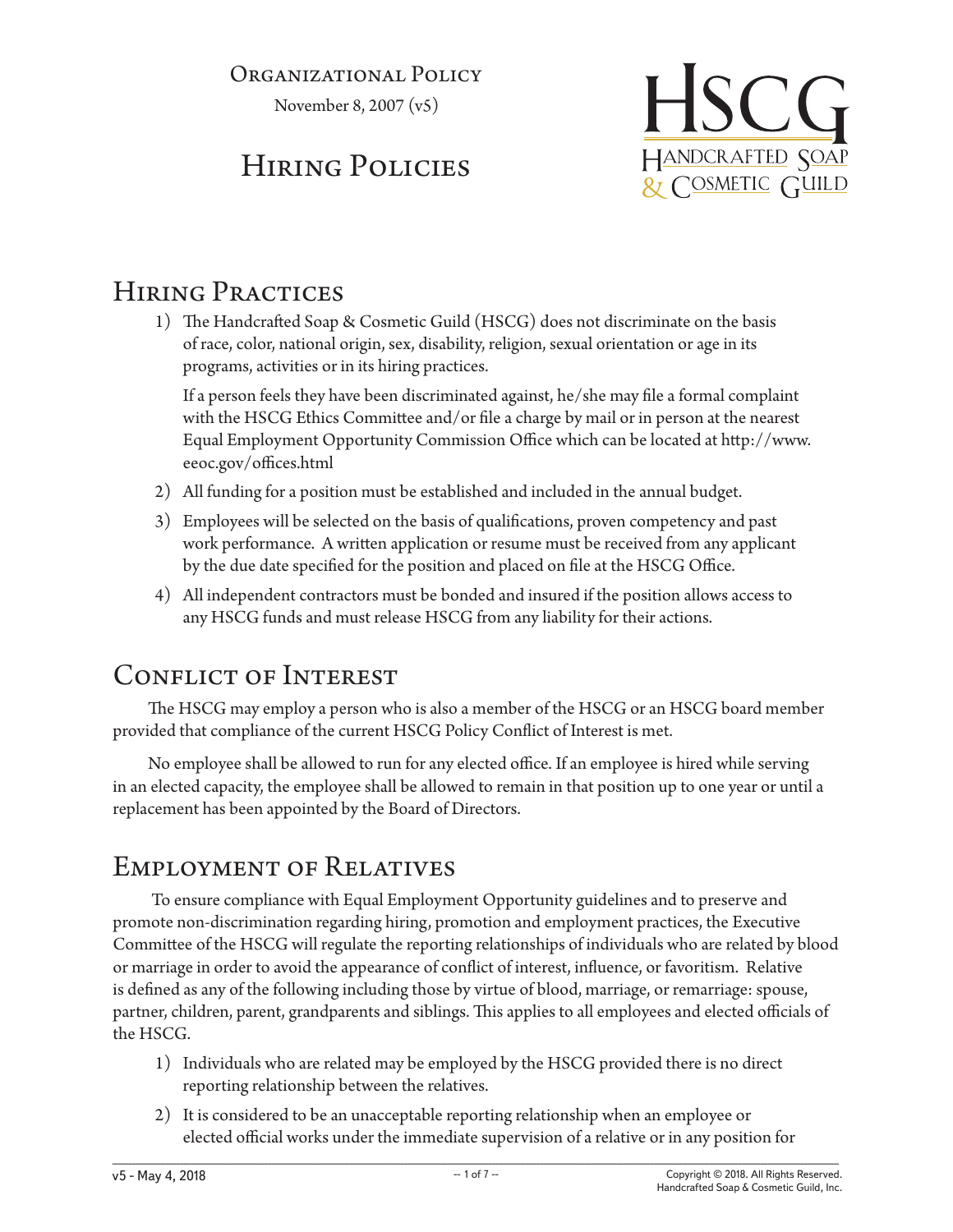#### Organizational Policy

November 8, 2007 (v5)

# Hiring Policies



## Hiring Practices

1) The Handcrafted Soap & Cosmetic Guild (HSCG) does not discriminate on the basis of race, color, national origin, sex, disability, religion, sexual orientation or age in its programs, activities or in its hiring practices.

If a person feels they have been discriminated against, he/she may file a formal complaint with the HSCG Ethics Committee and/or file a charge by mail or in person at the nearest Equal Employment Opportunity Commission Office which can be located at http://www. eeoc.gov/offices.html

- 2) All funding for a position must be established and included in the annual budget.
- 3) Employees will be selected on the basis of qualifications, proven competency and past work performance. A written application or resume must be received from any applicant by the due date specified for the position and placed on file at the HSCG Office.
- 4) All independent contractors must be bonded and insured if the position allows access to any HSCG funds and must release HSCG from any liability for their actions.

## Conflict of Interest

The HSCG may employ a person who is also a member of the HSCG or an HSCG board member provided that compliance of the current HSCG Policy Conflict of Interest is met.

No employee shall be allowed to run for any elected office. If an employee is hired while serving in an elected capacity, the employee shall be allowed to remain in that position up to one year or until a replacement has been appointed by the Board of Directors.

## Employment of Relatives

 To ensure compliance with Equal Employment Opportunity guidelines and to preserve and promote non-discrimination regarding hiring, promotion and employment practices, the Executive Committee of the HSCG will regulate the reporting relationships of individuals who are related by blood or marriage in order to avoid the appearance of conflict of interest, influence, or favoritism. Relative is defined as any of the following including those by virtue of blood, marriage, or remarriage: spouse, partner, children, parent, grandparents and siblings. This applies to all employees and elected officials of the HSCG.

- 1) Individuals who are related may be employed by the HSCG provided there is no direct reporting relationship between the relatives.
- 2) It is considered to be an unacceptable reporting relationship when an employee or elected official works under the immediate supervision of a relative or in any position for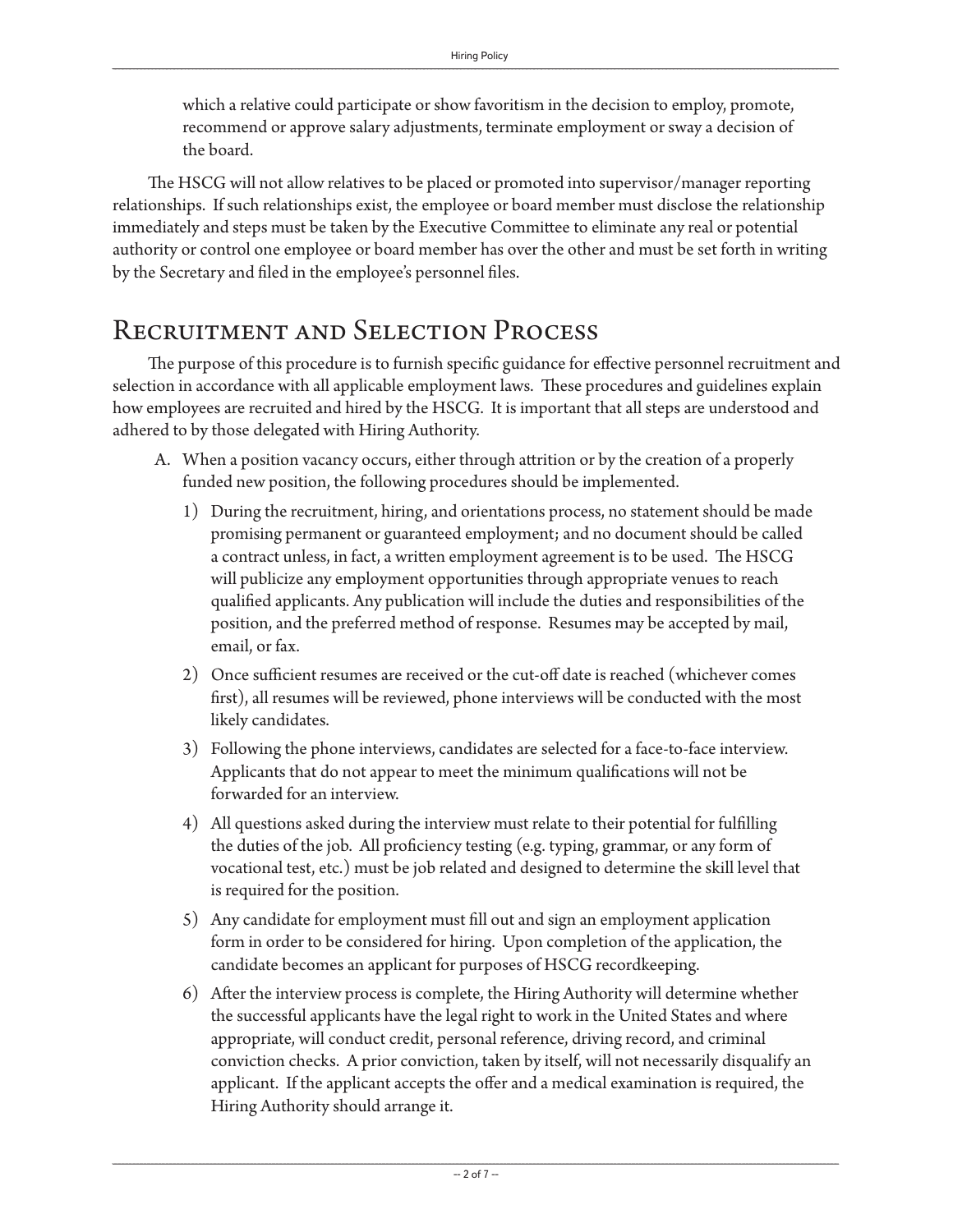which a relative could participate or show favoritism in the decision to employ, promote, recommend or approve salary adjustments, terminate employment or sway a decision of the board.

The HSCG will not allow relatives to be placed or promoted into supervisor/manager reporting relationships. If such relationships exist, the employee or board member must disclose the relationship immediately and steps must be taken by the Executive Committee to eliminate any real or potential authority or control one employee or board member has over the other and must be set forth in writing by the Secretary and filed in the employee's personnel files.

### Recruitment and Selection Process

The purpose of this procedure is to furnish specific guidance for effective personnel recruitment and selection in accordance with all applicable employment laws. These procedures and guidelines explain how employees are recruited and hired by the HSCG. It is important that all steps are understood and adhered to by those delegated with Hiring Authority.

- A. When a position vacancy occurs, either through attrition or by the creation of a properly funded new position, the following procedures should be implemented.
	- 1) During the recruitment, hiring, and orientations process, no statement should be made promising permanent or guaranteed employment; and no document should be called a contract unless, in fact, a written employment agreement is to be used. The HSCG will publicize any employment opportunities through appropriate venues to reach qualified applicants. Any publication will include the duties and responsibilities of the position, and the preferred method of response. Resumes may be accepted by mail, email, or fax.
	- 2) Once sufficient resumes are received or the cut-off date is reached (whichever comes first), all resumes will be reviewed, phone interviews will be conducted with the most likely candidates.
	- 3) Following the phone interviews, candidates are selected for a face-to-face interview. Applicants that do not appear to meet the minimum qualifications will not be forwarded for an interview.
	- 4) All questions asked during the interview must relate to their potential for fulfilling the duties of the job. All proficiency testing (e.g. typing, grammar, or any form of vocational test, etc.) must be job related and designed to determine the skill level that is required for the position.
	- 5) Any candidate for employment must fill out and sign an employment application form in order to be considered for hiring. Upon completion of the application, the candidate becomes an applicant for purposes of HSCG recordkeeping.
	- 6) After the interview process is complete, the Hiring Authority will determine whether the successful applicants have the legal right to work in the United States and where appropriate, will conduct credit, personal reference, driving record, and criminal conviction checks. A prior conviction, taken by itself, will not necessarily disqualify an applicant. If the applicant accepts the offer and a medical examination is required, the Hiring Authority should arrange it.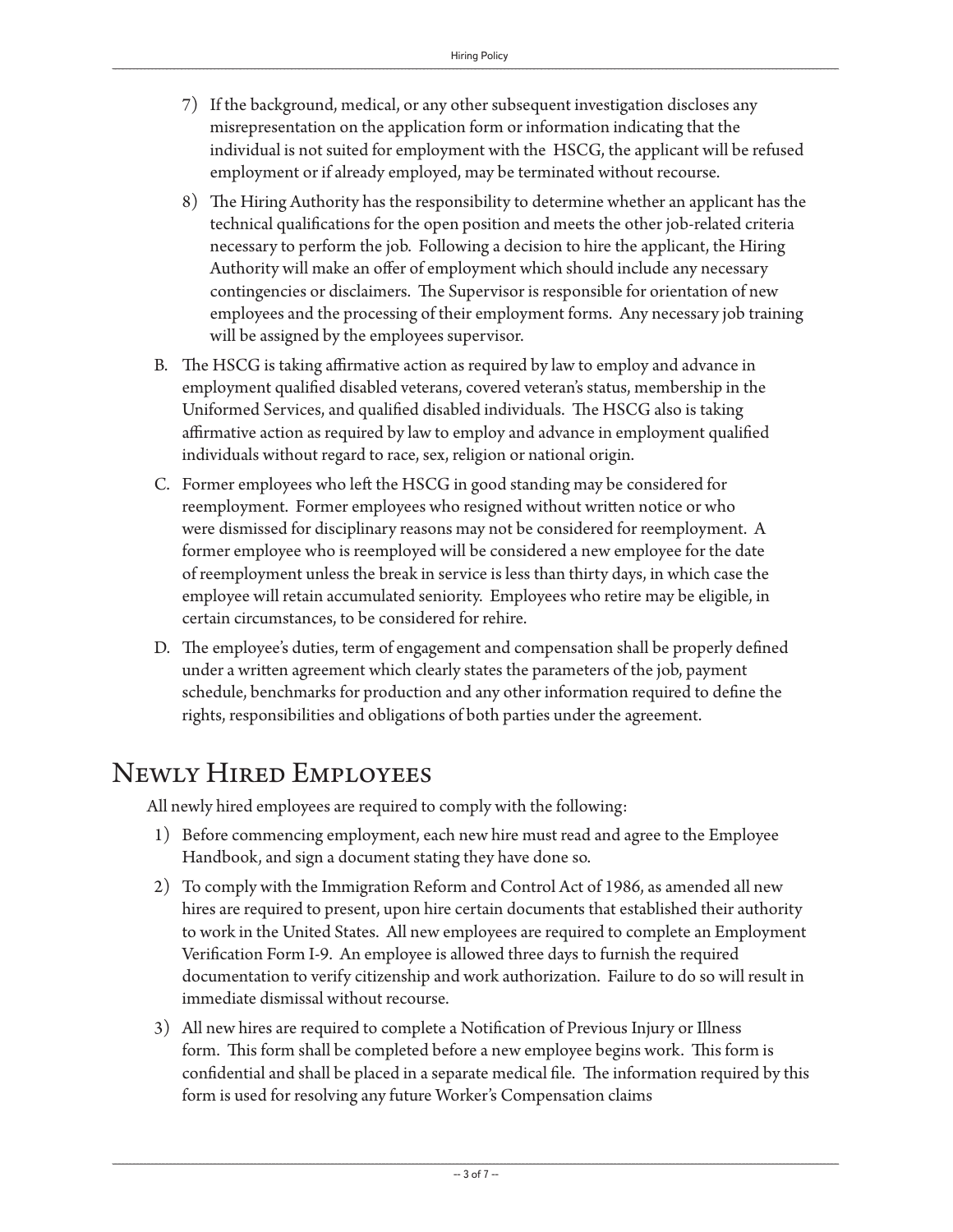- 7) If the background, medical, or any other subsequent investigation discloses any misrepresentation on the application form or information indicating that the individual is not suited for employment with the HSCG, the applicant will be refused employment or if already employed, may be terminated without recourse.
- 8) The Hiring Authority has the responsibility to determine whether an applicant has the technical qualifications for the open position and meets the other job-related criteria necessary to perform the job. Following a decision to hire the applicant, the Hiring Authority will make an offer of employment which should include any necessary contingencies or disclaimers. The Supervisor is responsible for orientation of new employees and the processing of their employment forms. Any necessary job training will be assigned by the employees supervisor.
- B. The HSCG is taking affirmative action as required by law to employ and advance in employment qualified disabled veterans, covered veteran's status, membership in the Uniformed Services, and qualified disabled individuals. The HSCG also is taking affirmative action as required by law to employ and advance in employment qualified individuals without regard to race, sex, religion or national origin.
- C. Former employees who left the HSCG in good standing may be considered for reemployment. Former employees who resigned without written notice or who were dismissed for disciplinary reasons may not be considered for reemployment. A former employee who is reemployed will be considered a new employee for the date of reemployment unless the break in service is less than thirty days, in which case the employee will retain accumulated seniority. Employees who retire may be eligible, in certain circumstances, to be considered for rehire.
- D. The employee's duties, term of engagement and compensation shall be properly defined under a written agreement which clearly states the parameters of the job, payment schedule, benchmarks for production and any other information required to define the rights, responsibilities and obligations of both parties under the agreement.

### Newly Hired Employees

All newly hired employees are required to comply with the following:

- 1) Before commencing employment, each new hire must read and agree to the Employee Handbook, and sign a document stating they have done so.
- 2) To comply with the Immigration Reform and Control Act of 1986, as amended all new hires are required to present, upon hire certain documents that established their authority to work in the United States. All new employees are required to complete an Employment Verification Form I-9. An employee is allowed three days to furnish the required documentation to verify citizenship and work authorization. Failure to do so will result in immediate dismissal without recourse.
- 3) All new hires are required to complete a Notification of Previous Injury or Illness form. This form shall be completed before a new employee begins work. This form is confidential and shall be placed in a separate medical file. The information required by this form is used for resolving any future Worker's Compensation claims